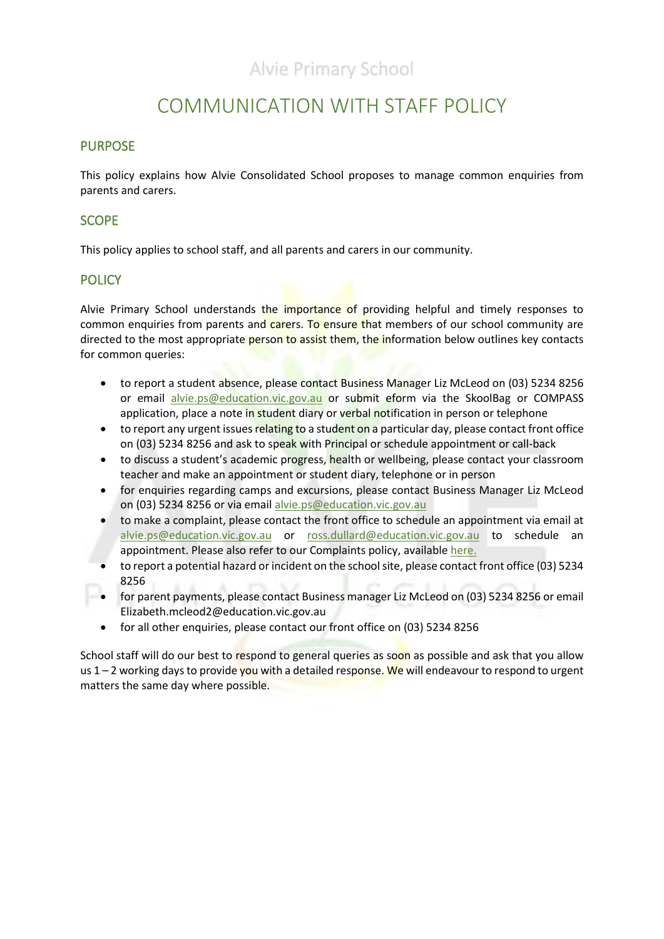## COMMUNICATION WITH STAFF POLICY

#### PURPOSE

This policy explains how Alvie Consolidated School proposes to manage common enquiries from parents and carers.

#### SCOPE

This policy applies to school staff, and all parents and carers in our community.

#### **POLICY**

Alvie Primary School understands the importance of providing helpful and timely responses to common enquiries from parents and carers. To ensure that members of our school community are directed to the most appropriate person to assist them, the information below outlines key contacts for common queries:

- to report a student absence, please contact Business Manager Liz McLeod on (03) 5234 8256 or email [alvie.ps@education.vic.gov.au](mailto:alvie.ps@education.vic.gov.au) or submit eform via the SkoolBag or COMPASS application, place a note in student diary or verbal notification in person or telephone
- to report any urgent issues relating to a student on a particular day, please contact front office on (03) 5234 8256 and ask to speak with Principal or schedule appointment or call-back
- to discuss a student's academic progress, health or wellbeing, please contact your classroom teacher and make an appointment or student diary, telephone or in person
- for enquiries regarding camps and excursions, please contact Business Manager Liz McLeod on (03) 5234 8256 or via email [alvie.ps@education.vic.gov.au](mailto:alvie.ps@education.vic.gov.au)
- to make a complaint, please contact the front office to schedule an appointment via email at [alvie.ps@education.vic.gov.au](mailto:alvie.cs@edumail.vic.gov.au) or [ross.dullard@education.vic.gov.au](mailto:donahoo.craig.c@edumail.vic.gov.au) to schedule an appointment. Please also refer to our Complaints policy, available [here.](file://///6201AFS01/Users/ALVIE%20FILES/GOVERNANCE/POLICIES/New%20Policies%20that%20require%20Context%20and%20Review/COMPLAINTS/Complaints%20Policy%20-%20Policy%20Template%20-%20February%202018.docx)
- to report a potential hazard or incident on the school site, please contact front office (03) 5234 8256
- for parent payments, please contact Business manager Liz McLeod on (03) 5234 8256 or email Elizabeth.mcleod2@education.vic.gov.au
- for all other enquiries, please contact our front office on (03) 5234 8256

School staff will do our best to respond to general queries as soon as possible and ask that you allow us  $1 - 2$  working days to provide you with a detailed response. We will endeavour to respond to urgent matters the same day where possible.